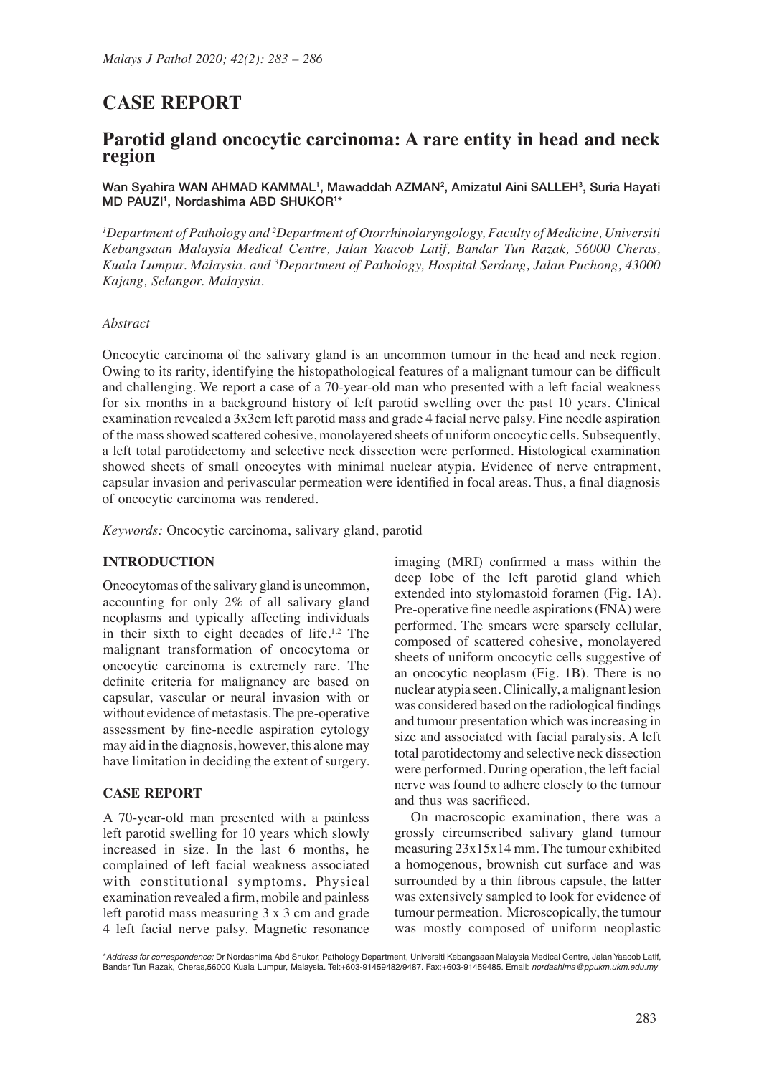# **CASE REPORT**

# **Parotid gland oncocytic carcinoma: A rare entity in head and neck region**

Wan Syahira WAN AHMAD KAMMAL<sup>1</sup>, Mawaddah AZMAN<sup>2</sup>, Amizatul Aini SALLEH<sup>3</sup>, Suria Hayati MD PAUZI<sup>1</sup>, Nordashima ABD SHUKOR<sup>1\*</sup>

*1 Department of Pathology and 2 Department of Otorrhinolaryngology, Faculty of Medicine, Universiti Kebangsaan Malaysia Medical Centre, Jalan Yaacob Latif, Bandar Tun Razak, 56000 Cheras, Kuala Lumpur. Malaysia. and 3 Department of Pathology, Hospital Serdang, Jalan Puchong, 43000 Kajang, Selangor. Malaysia.*

#### *Abstract*

Oncocytic carcinoma of the salivary gland is an uncommon tumour in the head and neck region. Owing to its rarity, identifying the histopathological features of a malignant tumour can be difficult and challenging. We report a case of a 70-year-old man who presented with a left facial weakness for six months in a background history of left parotid swelling over the past 10 years. Clinical examination revealed a 3x3cm left parotid mass and grade 4 facial nerve palsy. Fine needle aspiration of the mass showed scattered cohesive, monolayered sheets of uniform oncocytic cells. Subsequently, a left total parotidectomy and selective neck dissection were performed. Histological examination showed sheets of small oncocytes with minimal nuclear atypia. Evidence of nerve entrapment, capsular invasion and perivascular permeation were identified in focal areas. Thus, a final diagnosis of oncocytic carcinoma was rendered.

*Keywords:* Oncocytic carcinoma, salivary gland, parotid

#### **INTRODUCTION**

Oncocytomas of the salivary gland is uncommon, accounting for only 2% of all salivary gland neoplasms and typically affecting individuals in their sixth to eight decades of life.1,2 The malignant transformation of oncocytoma or oncocytic carcinoma is extremely rare. The definite criteria for malignancy are based on capsular, vascular or neural invasion with or without evidence of metastasis. The pre-operative assessment by fine-needle aspiration cytology may aid in the diagnosis, however, this alone may have limitation in deciding the extent of surgery.

# **CASE REPORT**

A 70-year-old man presented with a painless left parotid swelling for 10 years which slowly increased in size. In the last 6 months, he complained of left facial weakness associated with constitutional symptoms. Physical examination revealed a firm, mobile and painless left parotid mass measuring 3 x 3 cm and grade 4 left facial nerve palsy. Magnetic resonance imaging (MRI) confirmed a mass within the deep lobe of the left parotid gland which extended into stylomastoid foramen (Fig. 1A). Pre-operative fine needle aspirations (FNA) were performed. The smears were sparsely cellular, composed of scattered cohesive, monolayered sheets of uniform oncocytic cells suggestive of an oncocytic neoplasm (Fig. 1B). There is no nuclear atypia seen. Clinically, a malignant lesion was considered based on the radiological findings and tumour presentation which was increasing in size and associated with facial paralysis. A left total parotidectomy and selective neck dissection were performed. During operation, the left facial nerve was found to adhere closely to the tumour and thus was sacrificed.

On macroscopic examination, there was a grossly circumscribed salivary gland tumour measuring 23x15x14 mm. The tumour exhibited a homogenous, brownish cut surface and was surrounded by a thin fibrous capsule, the latter was extensively sampled to look for evidence of tumour permeation. Microscopically, the tumour was mostly composed of uniform neoplastic

\**Address for correspondence:* Dr Nordashima Abd Shukor, Pathology Department, Universiti Kebangsaan Malaysia Medical Centre, Jalan Yaacob Latif,<br>Bandar Tun Razak, Cheras,56000 Kuala Lumpur, Malaysia. Tel:+603-91459482/948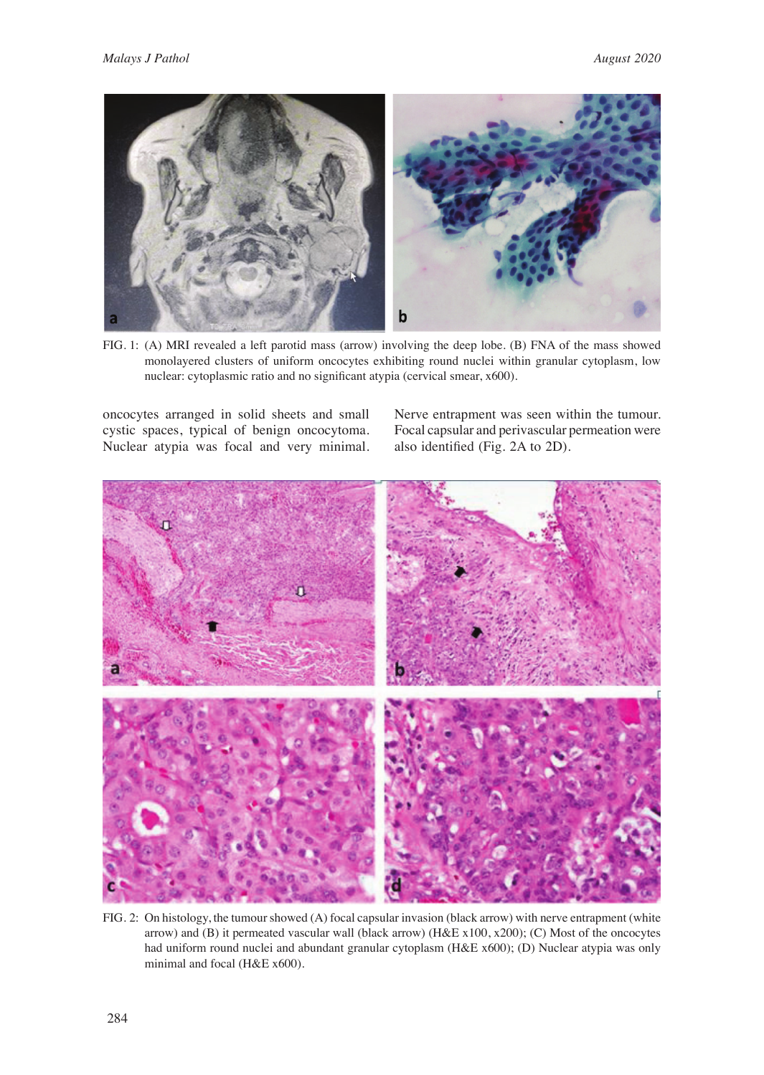

FIG. 1: (A) MRI revealed a left parotid mass (arrow) involving the deep lobe. (B) FNA of the mass showed monolayered clusters of uniform oncocytes exhibiting round nuclei within granular cytoplasm, low nuclear: cytoplasmic ratio and no significant atypia (cervical smear, x600).

oncocytes arranged in solid sheets and small cystic spaces, typical of benign oncocytoma. Nuclear atypia was focal and very minimal.

Nerve entrapment was seen within the tumour. Focal capsular and perivascular permeation were also identified (Fig. 2A to 2D).



FIG. 2: On histology, the tumour showed (A) focal capsular invasion (black arrow) with nerve entrapment (white arrow) and (B) it permeated vascular wall (black arrow) (H&E x100, x200); (C) Most of the oncocytes had uniform round nuclei and abundant granular cytoplasm (H&E x600); (D) Nuclear atypia was only minimal and focal (H&E x600).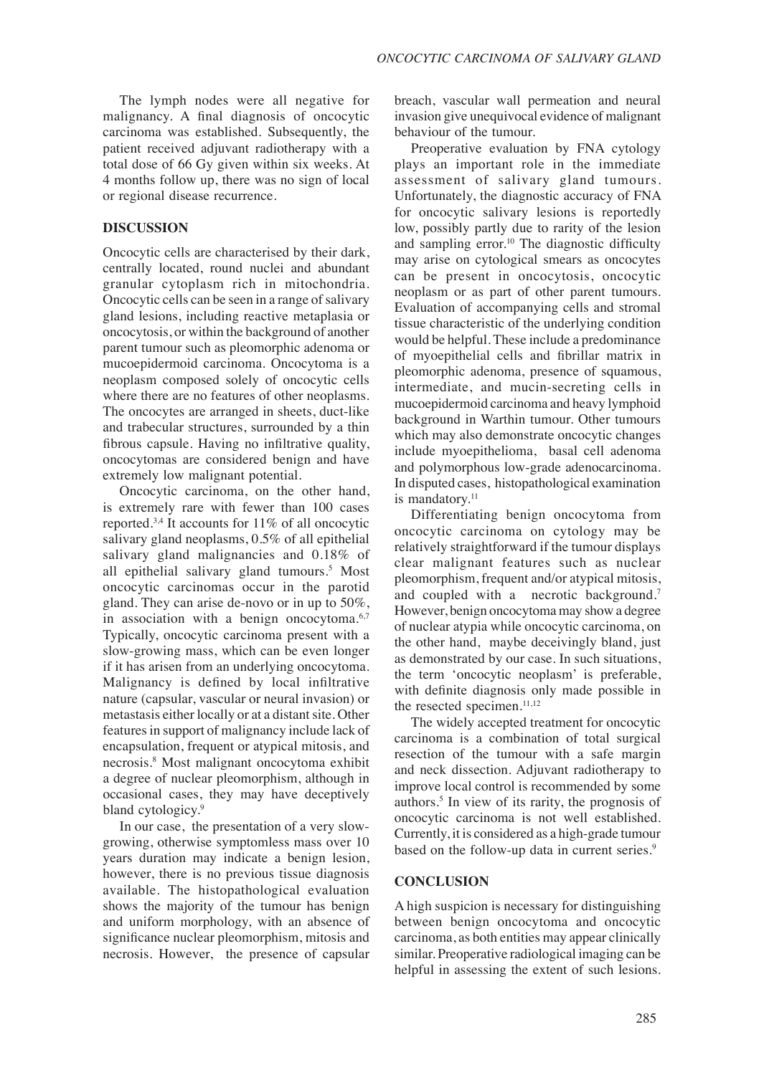The lymph nodes were all negative for malignancy. A final diagnosis of oncocytic carcinoma was established. Subsequently, the patient received adjuvant radiotherapy with a total dose of 66 Gy given within six weeks. At 4 months follow up, there was no sign of local or regional disease recurrence.

## **DISCUSSION**

Oncocytic cells are characterised by their dark, centrally located, round nuclei and abundant granular cytoplasm rich in mitochondria. Oncocytic cells can be seen in a range of salivary gland lesions, including reactive metaplasia or oncocytosis, or within the background of another parent tumour such as pleomorphic adenoma or mucoepidermoid carcinoma. Oncocytoma is a neoplasm composed solely of oncocytic cells where there are no features of other neoplasms. The oncocytes are arranged in sheets, duct-like and trabecular structures, surrounded by a thin fibrous capsule. Having no infiltrative quality, oncocytomas are considered benign and have extremely low malignant potential.

Oncocytic carcinoma, on the other hand, is extremely rare with fewer than 100 cases reported.3,4 It accounts for 11% of all oncocytic salivary gland neoplasms, 0.5% of all epithelial salivary gland malignancies and 0.18% of all epithelial salivary gland tumours.5 Most oncocytic carcinomas occur in the parotid gland. They can arise de-novo or in up to 50%, in association with a benign oncocytoma.<sup>6,7</sup> Typically, oncocytic carcinoma present with a slow-growing mass, which can be even longer if it has arisen from an underlying oncocytoma. Malignancy is defined by local infiltrative nature (capsular, vascular or neural invasion) or metastasis either locally or at a distant site. Other features in support of malignancy include lack of encapsulation, frequent or atypical mitosis, and necrosis.8 Most malignant oncocytoma exhibit a degree of nuclear pleomorphism, although in occasional cases, they may have deceptively bland cytologicy.<sup>9</sup>

In our case, the presentation of a very slowgrowing, otherwise symptomless mass over 10 years duration may indicate a benign lesion, however, there is no previous tissue diagnosis available. The histopathological evaluation shows the majority of the tumour has benign and uniform morphology, with an absence of significance nuclear pleomorphism, mitosis and necrosis. However, the presence of capsular

breach, vascular wall permeation and neural invasion give unequivocal evidence of malignant behaviour of the tumour.

Preoperative evaluation by FNA cytology plays an important role in the immediate assessment of salivary gland tumours. Unfortunately, the diagnostic accuracy of FNA for oncocytic salivary lesions is reportedly low, possibly partly due to rarity of the lesion and sampling error.<sup>10</sup> The diagnostic difficulty may arise on cytological smears as oncocytes can be present in oncocytosis, oncocytic neoplasm or as part of other parent tumours. Evaluation of accompanying cells and stromal tissue characteristic of the underlying condition would be helpful. These include a predominance of myoepithelial cells and fibrillar matrix in pleomorphic adenoma, presence of squamous, intermediate, and mucin-secreting cells in mucoepidermoid carcinoma and heavy lymphoid background in Warthin tumour. Other tumours which may also demonstrate oncocytic changes include myoepithelioma, basal cell adenoma and polymorphous low-grade adenocarcinoma. In disputed cases, histopathological examination is mandatory.<sup>11</sup>

Differentiating benign oncocytoma from oncocytic carcinoma on cytology may be relatively straightforward if the tumour displays clear malignant features such as nuclear pleomorphism, frequent and/or atypical mitosis, and coupled with a necrotic background.<sup>7</sup> However, benign oncocytoma may show a degree of nuclear atypia while oncocytic carcinoma, on the other hand, maybe deceivingly bland, just as demonstrated by our case. In such situations, the term 'oncocytic neoplasm' is preferable, with definite diagnosis only made possible in the resected specimen.<sup>11,12</sup>

The widely accepted treatment for oncocytic carcinoma is a combination of total surgical resection of the tumour with a safe margin and neck dissection. Adjuvant radiotherapy to improve local control is recommended by some authors.5 In view of its rarity, the prognosis of oncocytic carcinoma is not well established. Currently, it is considered as a high-grade tumour based on the follow-up data in current series.<sup>9</sup>

#### **CONCLUSION**

A high suspicion is necessary for distinguishing between benign oncocytoma and oncocytic carcinoma, as both entities may appear clinically similar. Preoperative radiological imaging can be helpful in assessing the extent of such lesions.